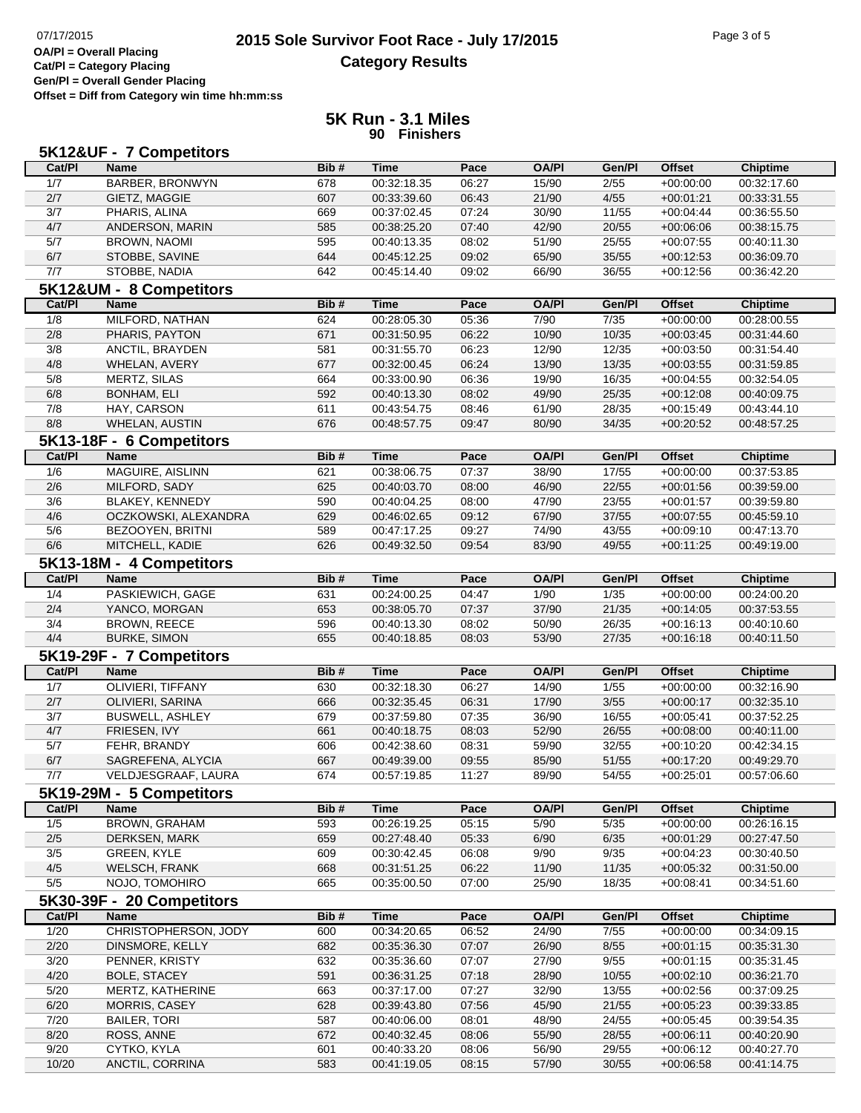## **2015 Sole Survivor Foot Race - July 17/2015** Page 3 of 5 Page 3 of 5 Page 3 of 5 **Category Results**

**Cat/Pl = Category Placing Gen/Pl = Overall Gender Placing Offset = Diff from Category win time hh:mm:ss**

## **5K Run - 3.1 Miles 90 Finishers**

| Cat/PI        | 5K12&UF - 7 Competitors<br><b>Name</b> | Bib#       | <b>Time</b>                | Pace           | <b>OA/PI</b>   | Gen/Pl            | <b>Offset</b>              | <b>Chiptime</b>            |
|---------------|----------------------------------------|------------|----------------------------|----------------|----------------|-------------------|----------------------------|----------------------------|
| 1/7           | <b>BARBER, BRONWYN</b>                 | 678        | 00:32:18.35                | 06:27          | 15/90          | 2/55              | $+00:00:00$                | 00:32:17.60                |
| 2/7           | GIETZ, MAGGIE                          | 607        | 00:33:39.60                | 06:43          | 21/90          | 4/55              | $+00:01:21$                | 00:33:31.55                |
| 3/7           | PHARIS, ALINA                          | 669        | 00:37:02.45                | 07:24          | 30/90          | 11/55             | $+00:04:44$                | 00:36:55.50                |
| 4/7           | ANDERSON, MARIN                        | 585        | 00:38:25.20                | 07:40          | 42/90          | 20/55             | $+00:06:06$                | 00:38:15.75                |
| 5/7           | <b>BROWN, NAOMI</b>                    | 595        | 00:40:13.35                | 08:02          | 51/90          | 25/55             | $+00:07:55$                | 00:40:11.30                |
| 6/7           | STOBBE, SAVINE                         | 644        | 00:45:12.25                | 09:02          | 65/90          | 35/55             | $+00:12:53$                | 00:36:09.70                |
| 7/7           | STOBBE, NADIA                          | 642        | 00:45:14.40                | 09:02          | 66/90          | 36/55             | $+00:12:56$                | 00:36:42.20                |
|               |                                        |            |                            |                |                |                   |                            |                            |
|               | 5K12&UM - 8 Competitors                |            |                            |                |                |                   |                            |                            |
| Cat/PI        | <b>Name</b>                            | Bib#       | <b>Time</b>                | Pace           | <b>OA/PI</b>   | Gen/Pl            | <b>Offset</b>              | <b>Chiptime</b>            |
| 1/8           | MILFORD, NATHAN                        | 624        | 00:28:05.30                | 05:36          | 7/90           | $\overline{7/35}$ | $+00:00:00$                | 00:28:00.55                |
| 2/8           | PHARIS, PAYTON                         | 671        | 00:31:50.95                | 06:22          | 10/90          | 10/35             | $+00:03:45$                | 00:31:44.60                |
| 3/8           | ANCTIL, BRAYDEN                        | 581        | 00:31:55.70                | 06:23          | 12/90          | 12/35             | $+00:03:50$                | 00:31:54.40                |
| 4/8           | WHELAN, AVERY                          | 677        | 00:32:00.45                | 06:24          | 13/90          | 13/35             | $+00:03:55$                | 00:31:59.85                |
| 5/8           | <b>MERTZ, SILAS</b>                    | 664        | 00:33:00.90                | 06:36          | 19/90          | 16/35             | $+00:04:55$                | 00:32:54.05                |
| 6/8           | <b>BONHAM, ELI</b>                     | 592        | 00:40:13.30                | 08:02          | 49/90          | 25/35             | $+00:12:08$                | 00:40:09.75                |
| 7/8           | HAY, CARSON                            | 611        | 00:43:54.75                | 08:46          | 61/90          | 28/35             | $+00:15:49$                | 00:43:44.10                |
| 8/8           | <b>WHELAN, AUSTIN</b>                  | 676        | 00:48:57.75                | 09:47          | 80/90          | 34/35             | $+00:20:52$                | 00:48:57.25                |
|               | 5K13-18F - 6 Competitors               |            |                            |                |                |                   |                            |                            |
| Cat/PI        | <b>Name</b>                            | Bib#       | <b>Time</b>                | Pace           | <b>OA/PI</b>   | Gen/Pl            | <b>Offset</b>              | <b>Chiptime</b>            |
| 1/6           | <b>MAGUIRE, AISLINN</b>                | 621        | 00:38:06.75                | 07:37          | 38/90          | 17/55             | $+00:00:00$                | 00:37:53.85                |
| 2/6           | MILFORD, SADY                          | 625        | 00:40:03.70                | 08:00          | 46/90          | 22/55             | $+00:01:56$                | 00:39:59.00                |
| 3/6           | <b>BLAKEY, KENNEDY</b>                 | 590        | 00:40:04.25                | 08:00          | 47/90          | 23/55             | $+00:01:57$                | 00:39:59.80                |
| 4/6           | OCZKOWSKI, ALEXANDRA                   | 629        | 00:46:02.65                | 09:12          | 67/90          | 37/55             | $+00:07:55$                | 00:45:59.10                |
| 5/6           | BEZOOYEN, BRITNI                       | 589        | 00:47:17.25                | 09:27          | 74/90          | 43/55             | $+00:09:10$                | 00:47:13.70                |
| 6/6           | MITCHELL, KADIE                        | 626        | 00:49:32.50                | 09:54          | 83/90          | 49/55             | $+00:11:25$                | 00:49:19.00                |
|               | 5K13-18M - 4 Competitors               |            |                            |                |                |                   |                            |                            |
| Cat/PI        | Name                                   | Bib#       | <b>Time</b>                | Pace           | <b>OA/PI</b>   | Gen/Pl            | <b>Offset</b>              | <b>Chiptime</b>            |
| 1/4           | PASKIEWICH, GAGE                       | 631        | 00:24:00.25                | 04:47          | 1/90           | $\frac{1}{35}$    | $+00:00:00$                | 00:24:00.20                |
| 2/4           | YANCO, MORGAN                          | 653        | 00:38:05.70                | 07:37          | 37/90          | 21/35             | $+00:14:05$                | 00:37:53.55                |
|               |                                        |            |                            |                |                |                   |                            |                            |
| 3/4<br>4/4    | <b>BROWN, REECE</b>                    | 596<br>655 | 00:40:13.30                | 08:02          | 50/90          | 26/35             | $+00:16:13$                | 00:40:10.60                |
|               | <b>BURKE, SIMON</b>                    |            | 00:40:18.85                | 08:03          | 53/90          | 27/35             | $+00:16:18$                | 00:40:11.50                |
| Cat/PI        | 5K19-29F - 7 Competitors               | Bib#       | <b>Time</b>                | Pace           | <b>OA/PI</b>   | Gen/Pl            |                            |                            |
|               | <b>Name</b>                            |            |                            |                |                |                   | <b>Offset</b>              | <b>Chiptime</b>            |
| 1/7           | <b>OLIVIERI, TIFFANY</b>               | 630        | 00:32:18.30                | 06:27          | 14/90          | 1/55              | $+00:00:00$                | 00:32:16.90                |
| 2/7           | OLIVIERI, SARINA                       | 666        | 00:32:35.45                | 06:31          | 17/90          | 3/55              | $+00:00:17$                | 00:32:35.10                |
| 3/7           | <b>BUSWELL, ASHLEY</b>                 | 679        | 00:37:59.80                | 07:35          | 36/90          | 16/55             | $+00:05:41$                | 00:37:52.25                |
| $4/7$         | FRIESEN, IVY                           | 661        | 00:40:18.75                | 08:03          | 52/90          | 26/55             | $+00:08:00$                | 00:40:11.00                |
| 5/7           | FEHR, BRANDY                           | 606        | 00:42:38.60                | 08:31          | 59/90          | 32/55             | $+00:10:20$                | 00:42:34.15                |
| 6/7           | SAGREFENA, ALYCIA                      | 667        | 00:49:39.00                | 09:55          | 85/90          | 51/55             | $+00:17:20$                | 00:49:29.70                |
| 7/7           | VELDJESGRAAF, LAURA                    | 674        | 00:57:19.85                | 11:27          | 89/90          | 54/55             | $+00.25.01$                | 00:57:06.60                |
|               | 5K19-29M - 5 Competitors               |            |                            |                |                |                   |                            |                            |
| Cat/PI        | Name                                   | Bib#       | <b>Time</b>                | Pace           | <b>OA/PI</b>   | Gen/Pl            | <b>Offset</b>              | <b>Chiptime</b>            |
| 1/5           | <b>BROWN, GRAHAM</b>                   | 593        | 00:26:19.25                | 05:15          | 5/90           | 5/35              | $+00:00:00$                | 00:26:16.15                |
| $2/5$         | <b>DERKSEN, MARK</b>                   | 659        | 00:27:48.40                | 05:33          | 6/90           | 6/35              | $+00:01:29$                | 00:27:47.50                |
| 3/5           | GREEN, KYLE                            | 609        | 00:30:42.45                | 06:08          | 9/90           | 9/35              | $+00:04:23$                | 00:30:40.50                |
| 4/5           | <b>WELSCH, FRANK</b>                   | 668        | 00:31:51.25                | 06:22          | 11/90          | 11/35             | $+00:05:32$                | 00:31:50.00                |
| 5/5           | NOJO, TOMOHIRO                         | 665        | 00:35:00.50                | 07:00          | 25/90          | 18/35             | $+00:08:41$                | 00:34:51.60                |
|               | 5K30-39F - 20 Competitors              |            |                            |                |                |                   |                            |                            |
| Cat/PI        | <b>Name</b>                            | Bib#       | <b>Time</b>                | Pace           | <b>OA/PI</b>   | Gen/Pl            | <b>Offset</b>              | <b>Chiptime</b>            |
| 1/20          | CHRISTOPHERSON, JODY                   | 600        | 00:34:20.65                | 06:52          | 24/90          | 7/55              | $+00:00:00$                | 00:34:09.15                |
| 2/20          | DINSMORE, KELLY                        | 682        | 00:35:36.30                | 07:07          | 26/90          | 8/55              | $+00:01:15$                | 00:35:31.30                |
| 3/20          | PENNER, KRISTY                         | 632        | 00:35:36.60                | 07:07          | 27/90          | 9/55              | $+00:01:15$                | 00:35:31.45                |
|               |                                        |            |                            |                |                |                   |                            |                            |
| 4/20          | <b>BOLE, STACEY</b>                    | 591        | 00:36:31.25                | 07:18          | 28/90          | 10/55             | $+00:02:10$                | 00:36:21.70                |
| 5/20          | MERTZ, KATHERINE                       | 663        | 00:37:17.00                | 07:27          | 32/90          | 13/55             | $+00:02:56$                | 00:37:09.25                |
|               | <b>MORRIS, CASEY</b>                   | 628        | 00:39:43.80                | 07:56          | 45/90          | 21/55             | $+00:05:23$                | 00:39:33.85                |
| 6/20          |                                        |            |                            |                |                |                   |                            |                            |
| 7/20          | <b>BAILER, TORI</b>                    | 587        | 00:40:06.00                | 08:01          | 48/90          | 24/55             | $+00:05:45$                | 00:39:54.35                |
| 8/20          | ROSS, ANNE                             | 672        | 00:40:32.45                | 08:06          | 55/90          | 28/55             | $+00:06:11$                | 00:40:20.90                |
| 9/20<br>10/20 | CYTKO, KYLA<br>ANCTIL, CORRINA         | 601<br>583 | 00:40:33.20<br>00:41:19.05 | 08:06<br>08:15 | 56/90<br>57/90 | 29/55<br>30/55    | $+00:06:12$<br>$+00:06:58$ | 00:40:27.70<br>00:41:14.75 |